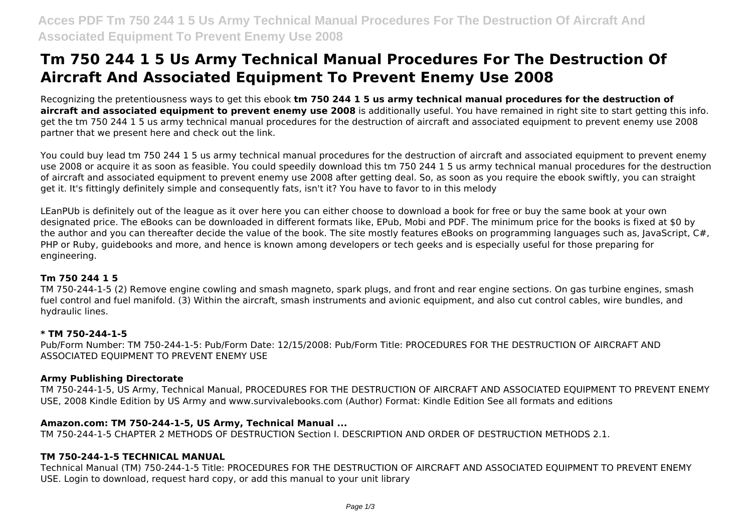# **Tm 750 244 1 5 Us Army Technical Manual Procedures For The Destruction Of Aircraft And Associated Equipment To Prevent Enemy Use 2008**

Recognizing the pretentiousness ways to get this ebook **tm 750 244 1 5 us army technical manual procedures for the destruction of aircraft and associated equipment to prevent enemy use 2008** is additionally useful. You have remained in right site to start getting this info. get the tm 750 244 1 5 us army technical manual procedures for the destruction of aircraft and associated equipment to prevent enemy use 2008 partner that we present here and check out the link.

You could buy lead tm 750 244 1 5 us army technical manual procedures for the destruction of aircraft and associated equipment to prevent enemy use 2008 or acquire it as soon as feasible. You could speedily download this tm 750 244 1 5 us army technical manual procedures for the destruction of aircraft and associated equipment to prevent enemy use 2008 after getting deal. So, as soon as you require the ebook swiftly, you can straight get it. It's fittingly definitely simple and consequently fats, isn't it? You have to favor to in this melody

LEanPUb is definitely out of the league as it over here you can either choose to download a book for free or buy the same book at your own designated price. The eBooks can be downloaded in different formats like, EPub, Mobi and PDF. The minimum price for the books is fixed at \$0 by the author and you can thereafter decide the value of the book. The site mostly features eBooks on programming languages such as, JavaScript, C#, PHP or Ruby, guidebooks and more, and hence is known among developers or tech geeks and is especially useful for those preparing for engineering.

# **Tm 750 244 1 5**

TM 750-244-1-5 (2) Remove engine cowling and smash magneto, spark plugs, and front and rear engine sections. On gas turbine engines, smash fuel control and fuel manifold. (3) Within the aircraft, smash instruments and avionic equipment, and also cut control cables, wire bundles, and hydraulic lines.

#### **\* TM 750-244-1-5**

Pub/Form Number: TM 750-244-1-5: Pub/Form Date: 12/15/2008: Pub/Form Title: PROCEDURES FOR THE DESTRUCTION OF AIRCRAFT AND ASSOCIATED EQUIPMENT TO PREVENT ENEMY USE

#### **Army Publishing Directorate**

TM 750-244-1-5, US Army, Technical Manual, PROCEDURES FOR THE DESTRUCTION OF AIRCRAFT AND ASSOCIATED EQUIPMENT TO PREVENT ENEMY USE, 2008 Kindle Edition by US Army and www.survivalebooks.com (Author) Format: Kindle Edition See all formats and editions

# **Amazon.com: TM 750-244-1-5, US Army, Technical Manual ...**

TM 750-244-1-5 CHAPTER 2 METHODS OF DESTRUCTION Section I. DESCRIPTION AND ORDER OF DESTRUCTION METHODS 2.1.

# **TM 750-244-1-5 TECHNICAL MANUAL**

Technical Manual (TM) 750-244-1-5 Title: PROCEDURES FOR THE DESTRUCTION OF AIRCRAFT AND ASSOCIATED EQUIPMENT TO PREVENT ENEMY USE. Login to download, request hard copy, or add this manual to your unit library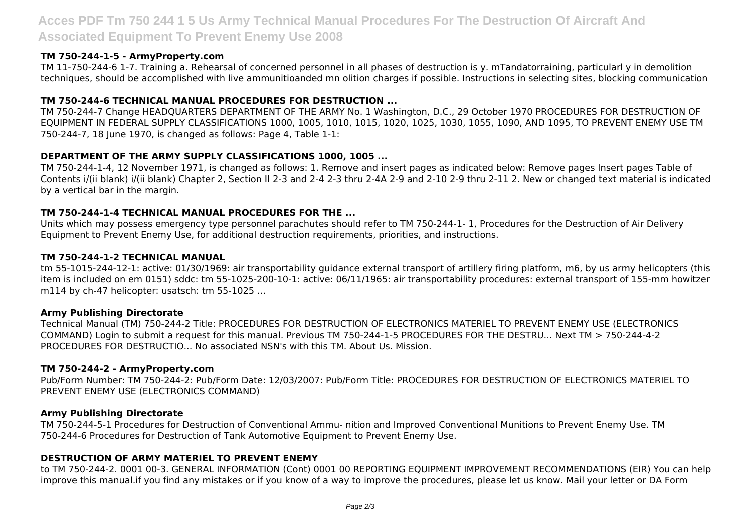# **Acces PDF Tm 750 244 1 5 Us Army Technical Manual Procedures For The Destruction Of Aircraft And Associated Equipment To Prevent Enemy Use 2008**

#### **TM 750-244-1-5 - ArmyProperty.com**

TM 11-750-244-6 1-7. Training a. Rehearsal of concerned personnel in all phases of destruction is y. mTandatorraining, particularl y in demolition techniques, should be accomplished with live ammunitioanded mn olition charges if possible. Instructions in selecting sites, blocking communication

# **TM 750-244-6 TECHNICAL MANUAL PROCEDURES FOR DESTRUCTION ...**

TM 750-244-7 Change HEADQUARTERS DEPARTMENT OF THE ARMY No. 1 Washington, D.C., 29 October 1970 PROCEDURES FOR DESTRUCTION OF EQUIPMENT IN FEDERAL SUPPLY CLASSIFICATIONS 1000, 1005, 1010, 1015, 1020, 1025, 1030, 1055, 1090, AND 1095, TO PREVENT ENEMY USE TM 750-244-7, 18 June 1970, is changed as follows: Page 4, Table 1-1:

# **DEPARTMENT OF THE ARMY SUPPLY CLASSIFICATIONS 1000, 1005 ...**

TM 750-244-1-4, 12 November 1971, is changed as follows: 1. Remove and insert pages as indicated below: Remove pages Insert pages Table of Contents i/(ii blank) i/(ii blank) Chapter 2, Section II 2-3 and 2-4 2-3 thru 2-4A 2-9 and 2-10 2-9 thru 2-11 2. New or changed text material is indicated by a vertical bar in the margin.

# **TM 750-244-1-4 TECHNICAL MANUAL PROCEDURES FOR THE ...**

Units which may possess emergency type personnel parachutes should refer to TM 750-244-1- 1, Procedures for the Destruction of Air Delivery Equipment to Prevent Enemy Use, for additional destruction requirements, priorities, and instructions.

#### **TM 750-244-1-2 TECHNICAL MANUAL**

tm 55-1015-244-12-1: active: 01/30/1969: air transportability guidance external transport of artillery firing platform, m6, by us army helicopters (this item is included on em 0151) sddc: tm 55-1025-200-10-1: active: 06/11/1965: air transportability procedures: external transport of 155-mm howitzer m114 by ch-47 helicopter: usatsch: tm 55-1025 ...

#### **Army Publishing Directorate**

Technical Manual (TM) 750-244-2 Title: PROCEDURES FOR DESTRUCTION OF ELECTRONICS MATERIEL TO PREVENT ENEMY USE (ELECTRONICS COMMAND) Login to submit a request for this manual. Previous TM 750-244-1-5 PROCEDURES FOR THE DESTRU... Next TM > 750-244-4-2 PROCEDURES FOR DESTRUCTIO... No associated NSN's with this TM. About Us. Mission.

#### **TM 750-244-2 - ArmyProperty.com**

Pub/Form Number: TM 750-244-2: Pub/Form Date: 12/03/2007: Pub/Form Title: PROCEDURES FOR DESTRUCTION OF ELECTRONICS MATERIEL TO PREVENT ENEMY USE (ELECTRONICS COMMAND)

#### **Army Publishing Directorate**

TM 750-244-5-1 Procedures for Destruction of Conventional Ammu- nition and Improved Conventional Munitions to Prevent Enemy Use. TM 750-244-6 Procedures for Destruction of Tank Automotive Equipment to Prevent Enemy Use.

#### **DESTRUCTION OF ARMY MATERIEL TO PREVENT ENEMY**

to TM 750-244-2. 0001 00-3. GENERAL INFORMATION (Cont) 0001 00 REPORTING EQUIPMENT IMPROVEMENT RECOMMENDATIONS (EIR) You can help improve this manual.if you find any mistakes or if you know of a way to improve the procedures, please let us know. Mail your letter or DA Form